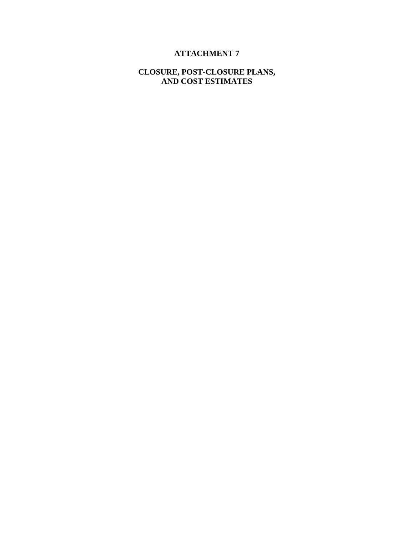# **ATTACHMENT 7**

### **CLOSURE, POST-CLOSURE PLANS, AND COST ESTIMATES**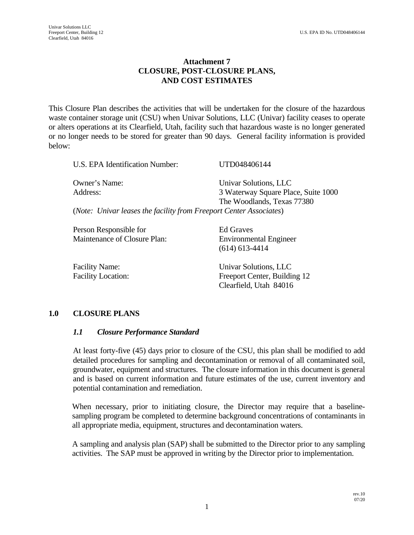### **Attachment 7 CLOSURE, POST-CLOSURE PLANS, AND COST ESTIMATES**

This Closure Plan describes the activities that will be undertaken for the closure of the hazardous waste container storage unit (CSU) when Univar Solutions, LLC (Univar) facility ceases to operate or alters operations at its Clearfield, Utah, facility such that hazardous waste is no longer generated or no longer needs to be stored for greater than 90 days. General facility information is provided below:

| U.S. EPA Identification Number:                                    | UTD048406144                        |
|--------------------------------------------------------------------|-------------------------------------|
| Owner's Name:                                                      | Univar Solutions, LLC               |
| Address:                                                           | 3 Waterway Square Place, Suite 1000 |
|                                                                    | The Woodlands, Texas 77380          |
| (Note: Univar leases the facility from Freeport Center Associates) |                                     |
| Person Responsible for                                             | Ed Graves                           |
| Maintenance of Closure Plan:                                       | <b>Environmental Engineer</b>       |

|                                                    | $(614)$ 613-4414                                      |
|----------------------------------------------------|-------------------------------------------------------|
| <b>Facility Name:</b><br><b>Facility Location:</b> | Univar Solutions, LLC<br>Freeport Center, Building 12 |
|                                                    | Clearfield, Utah 84016                                |

### **1.0 CLOSURE PLANS**

#### *1.1 Closure Performance Standard*

At least forty-five (45) days prior to closure of the CSU, this plan shall be modified to add detailed procedures for sampling and decontamination or removal of all contaminated soil, groundwater, equipment and structures. The closure information in this document is general and is based on current information and future estimates of the use, current inventory and potential contamination and remediation.

When necessary, prior to initiating closure, the Director may require that a baselinesampling program be completed to determine background concentrations of contaminants in all appropriate media, equipment, structures and decontamination waters.

A sampling and analysis plan (SAP) shall be submitted to the Director prior to any sampling activities. The SAP must be approved in writing by the Director prior to implementation.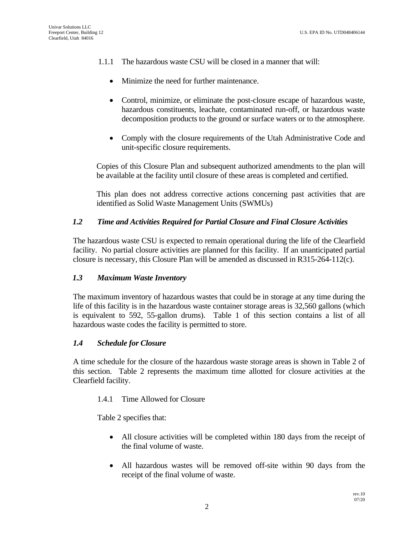- 1.1.1 The hazardous waste CSU will be closed in a manner that will:
	- Minimize the need for further maintenance.
	- Control, minimize, or eliminate the post-closure escape of hazardous waste, hazardous constituents, leachate, contaminated run-off, or hazardous waste decomposition products to the ground or surface waters or to the atmosphere.
	- Comply with the closure requirements of the Utah Administrative Code and unit-specific closure requirements.

Copies of this Closure Plan and subsequent authorized amendments to the plan will be available at the facility until closure of these areas is completed and certified.

This plan does not address corrective actions concerning past activities that are identified as Solid Waste Management Units (SWMUs)

### *1.2 Time and Activities Required for Partial Closure and Final Closure Activities*

The hazardous waste CSU is expected to remain operational during the life of the Clearfield facility. No partial closure activities are planned for this facility. If an unanticipated partial closure is necessary, this Closure Plan will be amended as discussed in R315-264-112(c).

### *1.3 Maximum Waste Inventory*

The maximum inventory of hazardous wastes that could be in storage at any time during the life of this facility is in the hazardous waste container storage areas is 32,560 gallons (which is equivalent to 592, 55-gallon drums). Table 1 of this section contains a list of all hazardous waste codes the facility is permitted to store.

### *1.4 Schedule for Closure*

A time schedule for the closure of the hazardous waste storage areas is shown in Table 2 of this section. Table 2 represents the maximum time allotted for closure activities at the Clearfield facility.

### 1.4.1 Time Allowed for Closure

Table 2 specifies that:

- All closure activities will be completed within 180 days from the receipt of the final volume of waste.
- All hazardous wastes will be removed off-site within 90 days from the receipt of the final volume of waste.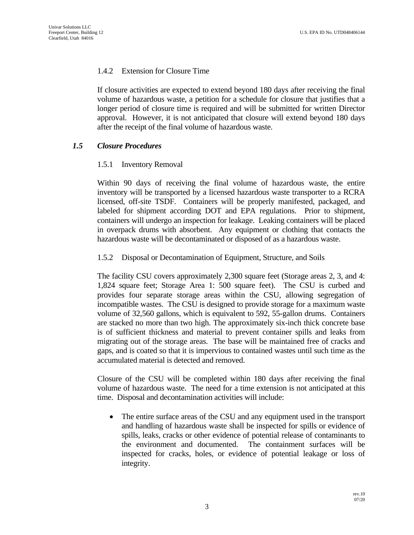#### 1.4.2 Extension for Closure Time

If closure activities are expected to extend beyond 180 days after receiving the final volume of hazardous waste, a petition for a schedule for closure that justifies that a longer period of closure time is required and will be submitted for written Director approval. However, it is not anticipated that closure will extend beyond 180 days after the receipt of the final volume of hazardous waste.

### *1.5 Closure Procedures*

#### 1.5.1 Inventory Removal

Within 90 days of receiving the final volume of hazardous waste, the entire inventory will be transported by a licensed hazardous waste transporter to a RCRA licensed, off-site TSDF. Containers will be properly manifested, packaged, and labeled for shipment according DOT and EPA regulations. Prior to shipment, containers will undergo an inspection for leakage. Leaking containers will be placed in overpack drums with absorbent. Any equipment or clothing that contacts the hazardous waste will be decontaminated or disposed of as a hazardous waste.

#### 1.5.2 Disposal or Decontamination of Equipment, Structure, and Soils

The facility CSU covers approximately 2,300 square feet (Storage areas 2, 3, and 4: 1,824 square feet; Storage Area 1: 500 square feet). The CSU is curbed and provides four separate storage areas within the CSU, allowing segregation of incompatible wastes. The CSU is designed to provide storage for a maximum waste volume of 32,560 gallons, which is equivalent to 592, 55-gallon drums. Containers are stacked no more than two high. The approximately six-inch thick concrete base is of sufficient thickness and material to prevent container spills and leaks from migrating out of the storage areas. The base will be maintained free of cracks and gaps, and is coated so that it is impervious to contained wastes until such time as the accumulated material is detected and removed.

Closure of the CSU will be completed within 180 days after receiving the final volume of hazardous waste. The need for a time extension is not anticipated at this time. Disposal and decontamination activities will include:

 The entire surface areas of the CSU and any equipment used in the transport and handling of hazardous waste shall be inspected for spills or evidence of spills, leaks, cracks or other evidence of potential release of contaminants to the environment and documented. The containment surfaces will be inspected for cracks, holes, or evidence of potential leakage or loss of integrity.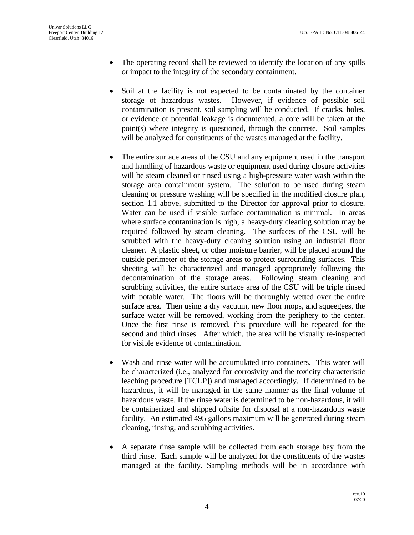- The operating record shall be reviewed to identify the location of any spills or impact to the integrity of the secondary containment.
- Soil at the facility is not expected to be contaminated by the container storage of hazardous wastes. However, if evidence of possible soil contamination is present, soil sampling will be conducted. If cracks, holes, or evidence of potential leakage is documented, a core will be taken at the point(s) where integrity is questioned, through the concrete. Soil samples will be analyzed for constituents of the wastes managed at the facility.
- The entire surface areas of the CSU and any equipment used in the transport and handling of hazardous waste or equipment used during closure activities will be steam cleaned or rinsed using a high-pressure water wash within the storage area containment system. The solution to be used during steam cleaning or pressure washing will be specified in the modified closure plan, section 1.1 above, submitted to the Director for approval prior to closure. Water can be used if visible surface contamination is minimal. In areas where surface contamination is high, a heavy-duty cleaning solution may be required followed by steam cleaning. The surfaces of the CSU will be scrubbed with the heavy-duty cleaning solution using an industrial floor cleaner. A plastic sheet, or other moisture barrier, will be placed around the outside perimeter of the storage areas to protect surrounding surfaces. This sheeting will be characterized and managed appropriately following the decontamination of the storage areas. Following steam cleaning and scrubbing activities, the entire surface area of the CSU will be triple rinsed with potable water. The floors will be thoroughly wetted over the entire surface area. Then using a dry vacuum, new floor mops, and squeegees, the surface water will be removed, working from the periphery to the center. Once the first rinse is removed, this procedure will be repeated for the second and third rinses. After which, the area will be visually re-inspected for visible evidence of contamination.
- Wash and rinse water will be accumulated into containers. This water will be characterized (i.e., analyzed for corrosivity and the toxicity characteristic leaching procedure [TCLP]) and managed accordingly. If determined to be hazardous, it will be managed in the same manner as the final volume of hazardous waste. If the rinse water is determined to be non-hazardous, it will be containerized and shipped offsite for disposal at a non-hazardous waste facility. An estimated 495 gallons maximum will be generated during steam cleaning, rinsing, and scrubbing activities.
- A separate rinse sample will be collected from each storage bay from the third rinse. Each sample will be analyzed for the constituents of the wastes managed at the facility. Sampling methods will be in accordance with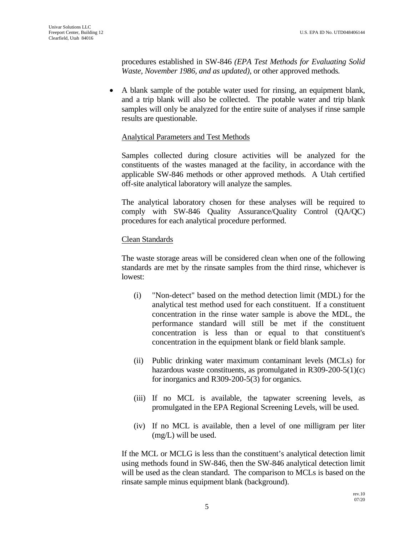procedures established in SW-846 *(EPA Test Methods for Evaluating Solid Waste, November 1986, and as updated)*, or other approved methods*.*

 A blank sample of the potable water used for rinsing, an equipment blank, and a trip blank will also be collected. The potable water and trip blank samples will only be analyzed for the entire suite of analyses if rinse sample results are questionable.

### Analytical Parameters and Test Methods

Samples collected during closure activities will be analyzed for the constituents of the wastes managed at the facility, in accordance with the applicable SW-846 methods or other approved methods. A Utah certified off-site analytical laboratory will analyze the samples.

The analytical laboratory chosen for these analyses will be required to comply with SW-846 Quality Assurance/Quality Control (QA/QC) procedures for each analytical procedure performed.

### Clean Standards

The waste storage areas will be considered clean when one of the following standards are met by the rinsate samples from the third rinse, whichever is lowest:

- (i) "Non-detect" based on the method detection limit (MDL) for the analytical test method used for each constituent. If a constituent concentration in the rinse water sample is above the MDL, the performance standard will still be met if the constituent concentration is less than or equal to that constituent's concentration in the equipment blank or field blank sample.
- (ii) Public drinking water maximum contaminant levels (MCLs) for hazardous waste constituents, as promulgated in R309-200-5(1)(c) for inorganics and R309-200-5(3) for organics.
- (iii) If no MCL is available, the tapwater screening levels, as promulgated in the EPA Regional Screening Levels, will be used.
- (iv) If no MCL is available, then a level of one milligram per liter (mg/L) will be used.

If the MCL or MCLG is less than the constituent's analytical detection limit using methods found in SW-846, then the SW-846 analytical detection limit will be used as the clean standard. The comparison to MCLs is based on the rinsate sample minus equipment blank (background).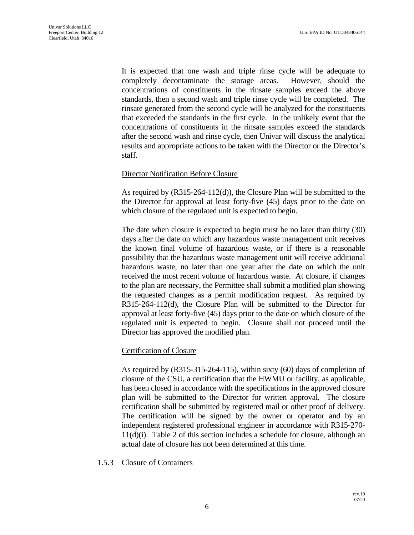It is expected that one wash and triple rinse cycle will be adequate to completely decontaminate the storage areas. However, should the concentrations of constituents in the rinsate samples exceed the above standards, then a second wash and triple rinse cycle will be completed. The rinsate generated from the second cycle will be analyzed for the constituents that exceeded the standards in the first cycle. In the unlikely event that the concentrations of constituents in the rinsate samples exceed the standards after the second wash and rinse cycle, then Univar will discuss the analytical results and appropriate actions to be taken with the Director or the Director's staff.

#### Director Notification Before Closure

As required by (R315-264-112(d)), the Closure Plan will be submitted to the the Director for approval at least forty-five (45) days prior to the date on which closure of the regulated unit is expected to begin.

The date when closure is expected to begin must be no later than thirty (30) days after the date on which any hazardous waste management unit receives the known final volume of hazardous waste, or if there is a reasonable possibility that the hazardous waste management unit will receive additional hazardous waste, no later than one year after the date on which the unit received the most recent volume of hazardous waste. At closure, if changes to the plan are necessary, the Permittee shall submit a modified plan showing the requested changes as a permit modification request. As required by R315-264-112(d), the Closure Plan will be submitted to the Director for approval at least forty-five (45) days prior to the date on which closure of the regulated unit is expected to begin. Closure shall not proceed until the Director has approved the modified plan.

#### Certification of Closure

As required by (R315-315-264-115), within sixty (60) days of completion of closure of the CSU, a certification that the HWMU or facility, as applicable, has been closed in accordance with the specifications in the approved closure plan will be submitted to the Director for written approval. The closure certification shall be submitted by registered mail or other proof of delivery. The certification will be signed by the owner or operator and by an independent registered professional engineer in accordance with R315-270- 11(d)(i). Table 2 of this section includes a schedule for closure, although an actual date of closure has not been determined at this time.

1.5.3 Closure of Containers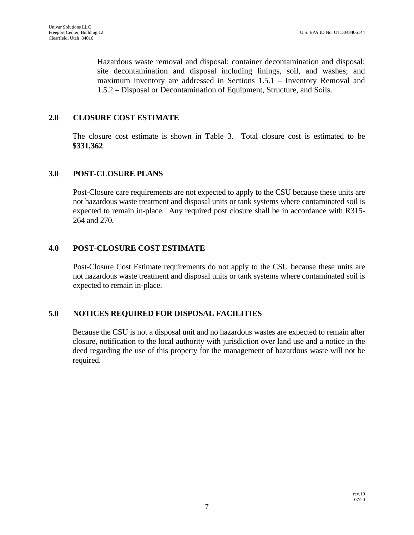Hazardous waste removal and disposal; container decontamination and disposal; site decontamination and disposal including linings, soil, and washes; and maximum inventory are addressed in Sections 1.5.1 – Inventory Removal and 1.5.2 – Disposal or Decontamination of Equipment, Structure, and Soils.

### **2.0 CLOSURE COST ESTIMATE**

The closure cost estimate is shown in Table 3. Total closure cost is estimated to be **\$331,362**.

#### **3.0 POST-CLOSURE PLANS**

Post-Closure care requirements are not expected to apply to the CSU because these units are not hazardous waste treatment and disposal units or tank systems where contaminated soil is expected to remain in-place. Any required post closure shall be in accordance with R315- 264 and 270.

### **4.0 POST-CLOSURE COST ESTIMATE**

Post-Closure Cost Estimate requirements do not apply to the CSU because these units are not hazardous waste treatment and disposal units or tank systems where contaminated soil is expected to remain in-place.

### **5.0 NOTICES REQUIRED FOR DISPOSAL FACILITIES**

Because the CSU is not a disposal unit and no hazardous wastes are expected to remain after closure, notification to the local authority with jurisdiction over land use and a notice in the deed regarding the use of this property for the management of hazardous waste will not be required.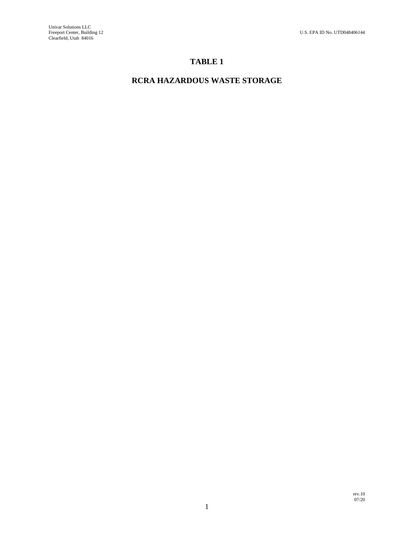# **TABLE 1**

# **RCRA HAZARDOUS WASTE STORAGE**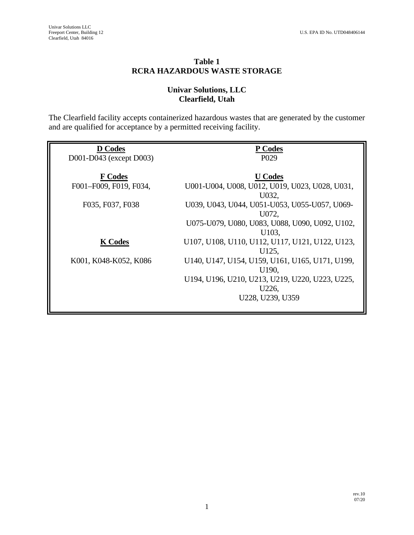### **Table 1 RCRA HAZARDOUS WASTE STORAGE**

### **Univar Solutions, LLC Clearfield, Utah**

The Clearfield facility accepts containerized hazardous wastes that are generated by the customer and are qualified for acceptance by a permitted receiving facility.

| <b>D</b> Codes          | P Codes                                         |
|-------------------------|-------------------------------------------------|
| D001-D043 (except D003) | P <sub>029</sub>                                |
|                         |                                                 |
| <b>F</b> Codes          | <b>U</b> Codes                                  |
| F001-F009, F019, F034,  | U001-U004, U008, U012, U019, U023, U028, U031,  |
|                         | U032,                                           |
| F035, F037, F038        | U039, U043, U044, U051-U053, U055-U057, U069-   |
|                         | U072,                                           |
|                         | U075-U079, U080, U083, U088, U090, U092, U102,  |
|                         | U103,                                           |
| <b>K</b> Codes          | U107, U108, U110, U112, U117, U121, U122, U123, |
|                         | U125,                                           |
| K001, K048-K052, K086   | U140, U147, U154, U159, U161, U165, U171, U199, |
|                         | U190,                                           |
|                         | U194, U196, U210, U213, U219, U220, U223, U225, |
|                         | U226,                                           |
|                         | U228, U239, U359                                |
|                         |                                                 |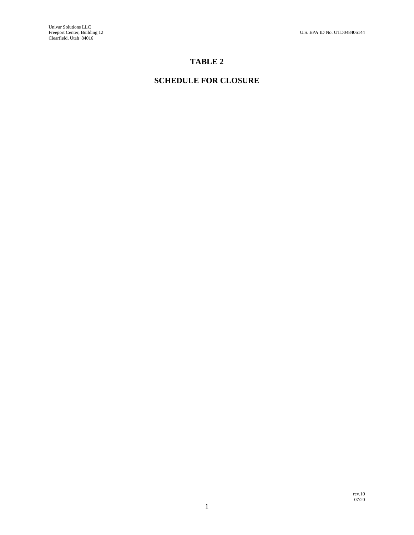## **TABLE 2**

# **SCHEDULE FOR CLOSURE**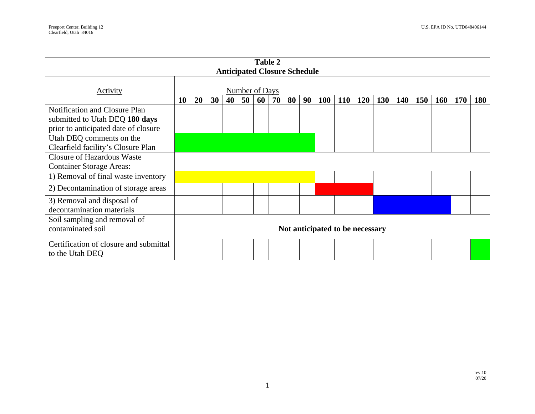| Table 2<br><b>Anticipated Closure Schedule</b>                                                          |                                 |           |    |    |    |    |    |    |    |            |            |     |            |     |     |            |            |            |
|---------------------------------------------------------------------------------------------------------|---------------------------------|-----------|----|----|----|----|----|----|----|------------|------------|-----|------------|-----|-----|------------|------------|------------|
| Activity                                                                                                | Number of Days                  |           |    |    |    |    |    |    |    |            |            |     |            |     |     |            |            |            |
|                                                                                                         | 10                              | <b>20</b> | 30 | 40 | 50 | 60 | 70 | 80 | 90 | <b>100</b> | <b>110</b> | 120 | <b>130</b> | 140 | 150 | <b>160</b> | <b>170</b> | <b>180</b> |
| Notification and Closure Plan<br>submitted to Utah DEQ 180 days<br>prior to anticipated date of closure |                                 |           |    |    |    |    |    |    |    |            |            |     |            |     |     |            |            |            |
| Utah DEQ comments on the<br>Clearfield facility's Closure Plan                                          |                                 |           |    |    |    |    |    |    |    |            |            |     |            |     |     |            |            |            |
| <b>Closure of Hazardous Waste</b><br><b>Container Storage Areas:</b>                                    |                                 |           |    |    |    |    |    |    |    |            |            |     |            |     |     |            |            |            |
| 1) Removal of final waste inventory                                                                     |                                 |           |    |    |    |    |    |    |    |            |            |     |            |     |     |            |            |            |
| 2) Decontamination of storage areas                                                                     |                                 |           |    |    |    |    |    |    |    |            |            |     |            |     |     |            |            |            |
| 3) Removal and disposal of<br>decontamination materials                                                 |                                 |           |    |    |    |    |    |    |    |            |            |     |            |     |     |            |            |            |
| Soil sampling and removal of<br>contaminated soil                                                       | Not anticipated to be necessary |           |    |    |    |    |    |    |    |            |            |     |            |     |     |            |            |            |
| Certification of closure and submittal<br>to the Utah DEQ                                               |                                 |           |    |    |    |    |    |    |    |            |            |     |            |     |     |            |            |            |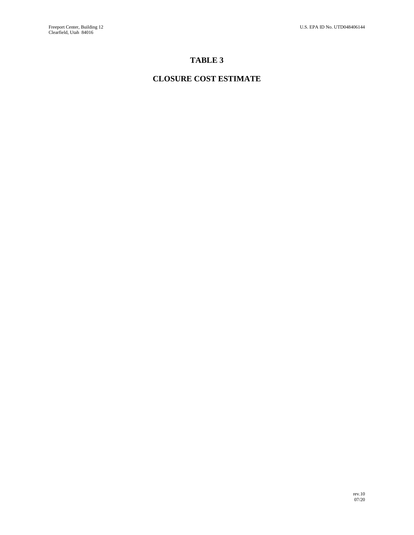# **TABLE 3**

# **CLOSURE COST ESTIMATE**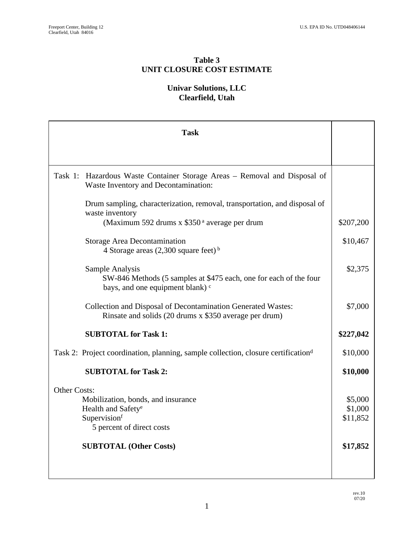### **Table 3 UNIT CLOSURE COST ESTIMATE**

## **Univar Solutions, LLC Clearfield, Utah**

| <b>Task</b>                                                                                                                   |           |  |  |  |  |  |  |
|-------------------------------------------------------------------------------------------------------------------------------|-----------|--|--|--|--|--|--|
|                                                                                                                               |           |  |  |  |  |  |  |
| Task 1: Hazardous Waste Container Storage Areas – Removal and Disposal of<br>Waste Inventory and Decontamination:             |           |  |  |  |  |  |  |
| Drum sampling, characterization, removal, transportation, and disposal of<br>waste inventory                                  |           |  |  |  |  |  |  |
| (Maximum 592 drums x \$350 <sup>a</sup> average per drum                                                                      |           |  |  |  |  |  |  |
| <b>Storage Area Decontamination</b><br>4 Storage areas $(2,300 \text{ square feet})^b$                                        | \$10,467  |  |  |  |  |  |  |
| Sample Analysis<br>SW-846 Methods (5 samples at \$475 each, one for each of the four<br>bays, and one equipment blank) c      | \$2,375   |  |  |  |  |  |  |
| <b>Collection and Disposal of Decontamination Generated Wastes:</b><br>Rinsate and solids (20 drums x \$350 average per drum) | \$7,000   |  |  |  |  |  |  |
| <b>SUBTOTAL for Task 1:</b>                                                                                                   | \$227,042 |  |  |  |  |  |  |
| Task 2: Project coordination, planning, sample collection, closure certification <sup>d</sup>                                 |           |  |  |  |  |  |  |
| <b>SUBTOTAL for Task 2:</b>                                                                                                   | \$10,000  |  |  |  |  |  |  |
| <b>Other Costs:</b>                                                                                                           |           |  |  |  |  |  |  |
| Mobilization, bonds, and insurance                                                                                            | \$5,000   |  |  |  |  |  |  |
| Health and Safety <sup>e</sup>                                                                                                | \$1,000   |  |  |  |  |  |  |
| Supervisionf<br>5 percent of direct costs                                                                                     | \$11,852  |  |  |  |  |  |  |
| <b>SUBTOTAL (Other Costs)</b>                                                                                                 | \$17,852  |  |  |  |  |  |  |
|                                                                                                                               |           |  |  |  |  |  |  |